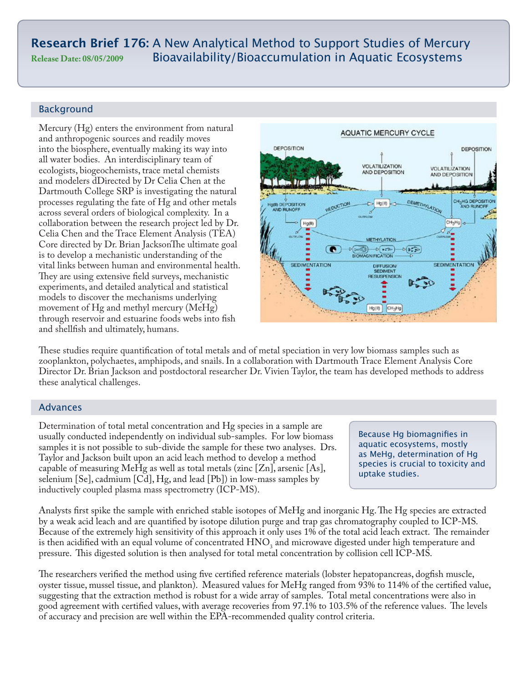# **Research Brief 176:** A New Analytical Method to Support Studies of Mercury **Release Date: 08/05/2009** Bioavailability/Bioaccumulation in Aquatic Ecosystems

# Background

Mercury (Hg) enters the environment from natural and anthropogenic sources and readily moves into the biosphere, eventually making its way into all water bodies. An interdisciplinary team of ecologists, biogeochemists, trace metal chemists and modelers dDirected by Dr Celia Chen at the Dartmouth College SRP is investigating the natural processes regulating the fate of Hg and other metals across several orders of biological complexity. In a collaboration between the research project led by Dr. Celia Chen and the Trace Element Analysis (TEA) Core directed by Dr. Brian JacksonThe ultimate goal is to develop a mechanistic understanding of the vital links between human and environmental health. They are using extensive field surveys, mechanistic experiments, and detailed analytical and statistical models to discover the mechanisms underlying movement of Hg and methyl mercury (MeHg) through reservoir and estuarine foods webs into fish and shellfish and ultimately, humans.



These studies require quantification of total metals and of metal speciation in very low biomass samples such as zooplankton, polychaetes, amphipods, and snails. In a collaboration with Dartmouth Trace Element Analysis Core Director Dr. Brian Jackson and postdoctoral researcher Dr. Vivien Taylor, the team has developed methods to address these analytical challenges.

# Advances

Determination of total metal concentration and Hg species in a sample are usually conducted independently on individual sub-samples. For low biomass samples it is not possible to sub-divide the sample for these two analyses. Drs. Taylor and Jackson built upon an acid leach method to develop a method capable of measuring MeHg as well as total metals (zinc [Zn], arsenic [As], selenium [Se], cadmium [Cd], Hg, and lead [Pb]) in low-mass samples by inductively coupled plasma mass spectrometry (ICP-MS).

Because Hg biomagnifies in aquatic ecosystems, mostly as MeHg, determination of Hg species is crucial to toxicity and uptake studies.

Analysts first spike the sample with enriched stable isotopes of MeHg and inorganic Hg. The Hg species are extracted by a weak acid leach and are quantified by isotope dilution purge and trap gas chromatography coupled to ICP-MS. Because of the extremely high sensitivity of this approach it only uses 1% of the total acid leach extract. The remainder is then acidified with an equal volume of concentrated  $HNO<sub>3</sub>$  and microwave digested under high temperature and pressure. This digested solution is then analysed for total metal concentration by collision cell ICP-MS.

The researchers verified the method using five certified reference materials (lobster hepatopancreas, dogfish muscle, oyster tissue, mussel tissue, and plankton). Measured values for MeHg ranged from 93% to 114% of the certified value, suggesting that the extraction method is robust for a wide array of samples. Total metal concentrations were also in good agreement with certified values, with average recoveries from 97.1% to 103.5% of the reference values. The levels of accuracy and precision are well within the EPA-recommended quality control criteria.